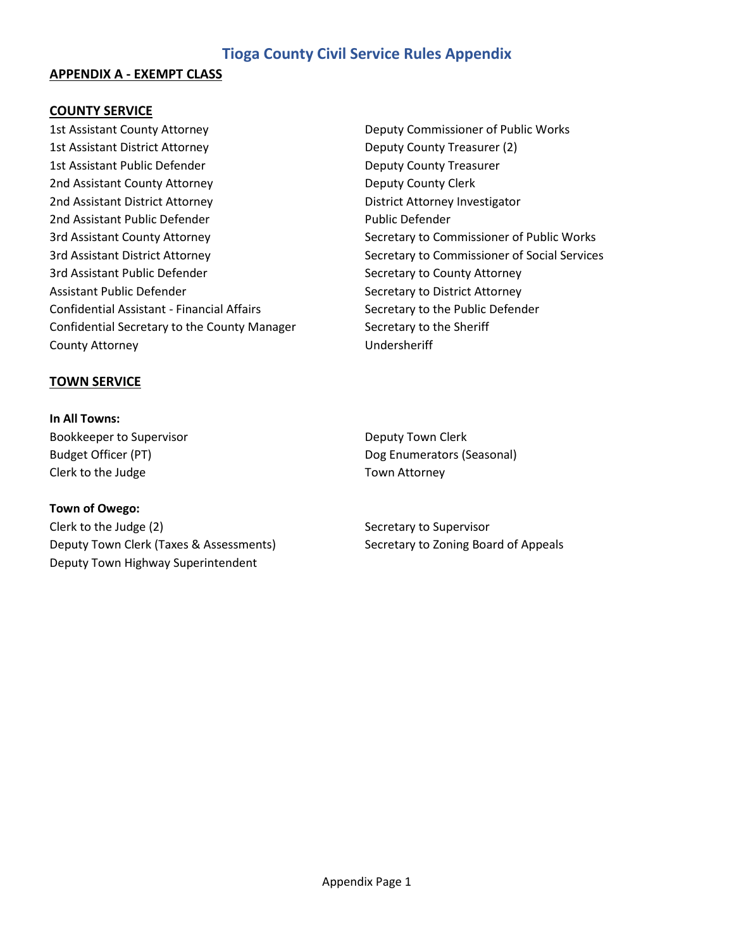#### **APPENDIX A - EXEMPT CLASS**

#### **COUNTY SERVICE**

1st Assistant County Attorney **Deputy Commissioner of Public Works** 1st Assistant District Attorney Deputy County Treasurer (2) 1st Assistant Public Defender **Deputy County Treasurer** Deputy County Treasurer 2nd Assistant County Attorney **Deputy County Clerk** Deputy County Clerk 2nd Assistant District Attorney **District Attorney Investigator** 2nd Assistant Public Defender **Public Defender** Public Defender 3rd Assistant County Attorney The Secretary to Commissioner of Public Works 3rd Assistant District Attorney The Secretary to Commissioner of Social Services 3rd Assistant Public Defender Secretary to County Attorney Assistant Public Defender Secretary to District Attorney Confidential Assistant - Financial Affairs Secretary to the Public Defender Confidential Secretary to the County Manager Secretary to the Sheriff County Attorney **No. 2018** Undersheriff

#### **TOWN SERVICE**

**In All Towns:** Bookkeeper to Supervisor **Deputy Town Clerk** Deputy Town Clerk Clerk to the Judge Town Attorney

#### **Town of Owego:**

Clerk to the Judge (2) Secretary to Supervisor Deputy Town Clerk (Taxes & Assessments) Secretary to Zoning Board of Appeals Deputy Town Highway Superintendent

Budget Officer (PT) **Dog Enumerators (Seasonal)** Dog Enumerators (Seasonal)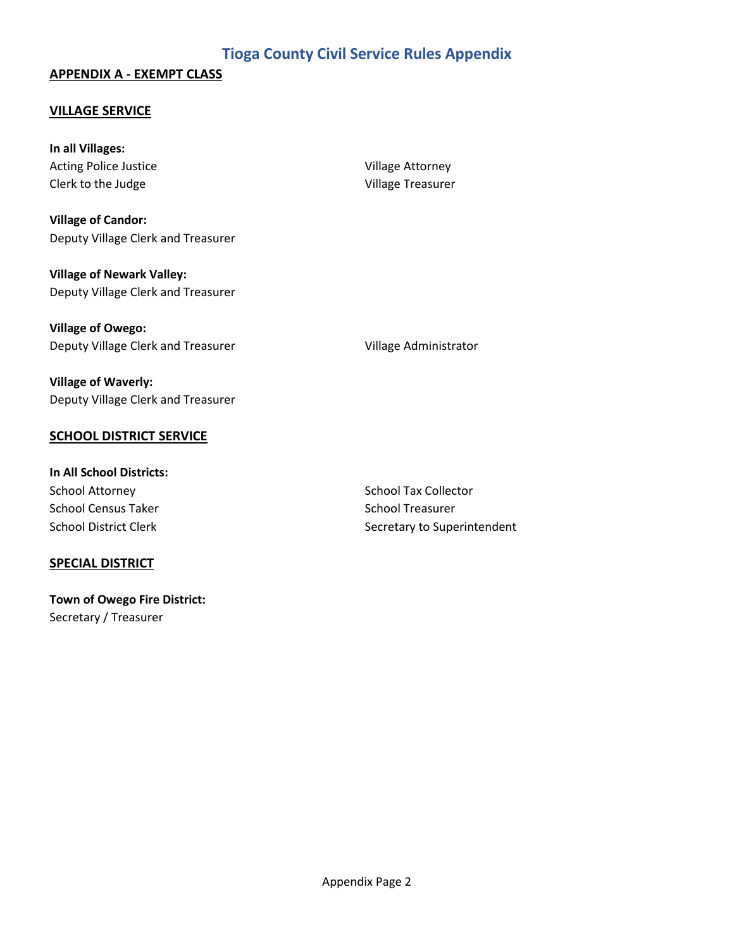### **APPENDIX A - EXEMPT CLASS**

#### **VILLAGE SERVICE**

**In all Villages:** Acting Police Justice Village Attorney Clerk to the Judge Village Treasurer

**Village of Candor:** Deputy Village Clerk and Treasurer

**Village of Newark Valley:** Deputy Village Clerk and Treasurer

**Village of Owego:** Deputy Village Clerk and Treasurer Village Administrator

**Village of Waverly:** Deputy Village Clerk and Treasurer

## **SCHOOL DISTRICT SERVICE**

**In All School Districts:** School Attorney **School Tax Collector** School Tax Collector School Census Taker School Treasurer

#### **SPECIAL DISTRICT**

**Town of Owego Fire District:** Secretary / Treasurer

School District Clerk Secretary to Superintendent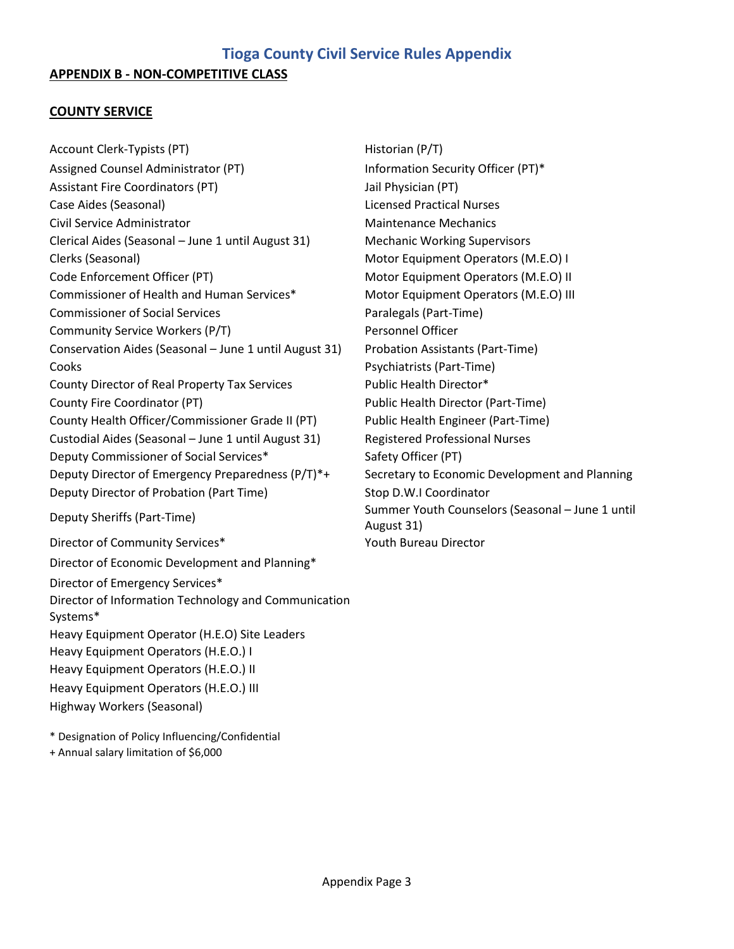#### **COUNTY SERVICE**

Account Clerk-Typists (PT) Historian (P/T) Assigned Counsel Administrator (PT) Information Security Officer (PT)\* Assistant Fire Coordinators (PT) Jail Physician (PT) Case Aides (Seasonal) Licensed Practical Nurses Civil Service Administrator **Maintenance Mechanics** Maintenance Mechanics Clerical Aides (Seasonal – June 1 until August 31) Mechanic Working Supervisors Clerks (Seasonal) Motor Equipment Operators (M.E.O) I Code Enforcement Officer (PT) Motor Equipment Operators (M.E.O) II Commissioner of Health and Human Services\* Motor Equipment Operators (M.E.O) III Commissioner of Social Services **Paralegals (Part-Time)** Paralegals (Part-Time) Community Service Workers (P/T) Personnel Officer Conservation Aides (Seasonal – June 1 until August 31) Probation Assistants (Part-Time) Cooks Psychiatrists (Part-Time) County Director of Real Property Tax Services Public Health Director\* County Fire Coordinator (PT) Public Health Director (Part-Time) County Health Officer/Commissioner Grade II (PT) Public Health Engineer (Part-Time) Custodial Aides (Seasonal – June 1 until August 31) Registered Professional Nurses Deputy Commissioner of Social Services\* Safety Officer (PT) Deputy Director of Emergency Preparedness (P/T)\*+ Secretary to Economic Development and Planning Deputy Director of Probation (Part Time) Stop D.W.I Coordinator Deputy Sheriffs (Part-Time) Summer Youth Counselors (Seasonal – June 1 until Director of Community Services\* The Content of Community Services Arrow Muslim Couth Bureau Director Director of Economic Development and Planning\* Director of Emergency Services\* Director of Information Technology and Communication Systems\* Heavy Equipment Operator (H.E.O) Site Leaders Heavy Equipment Operators (H.E.O.) I Heavy Equipment Operators (H.E.O.) II Heavy Equipment Operators (H.E.O.) III

Highway Workers (Seasonal)

\* Designation of Policy Influencing/Confidential

+ Annual salary limitation of \$6,000

August 31)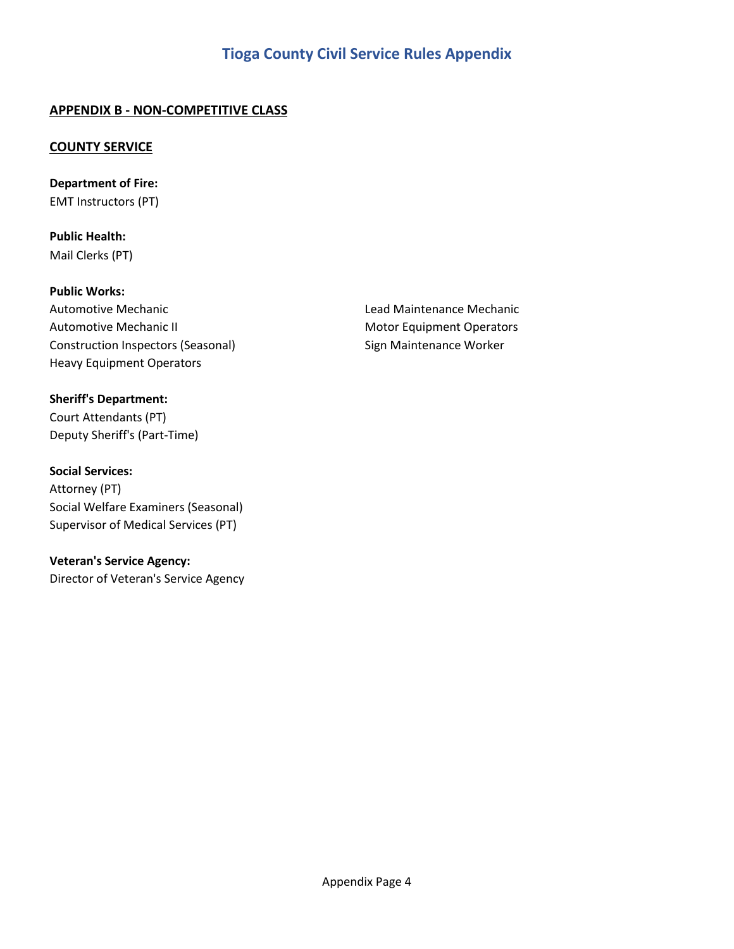## **APPENDIX B - NON-COMPETITIVE CLASS**

### **COUNTY SERVICE**

**Department of Fire:** EMT Instructors (PT)

**Public Health:** Mail Clerks (PT)

**Public Works:** Automotive Mechanic Lead Maintenance Mechanic Automotive Mechanic II Motor Equipment Operators Construction Inspectors (Seasonal) Sign Maintenance Worker Heavy Equipment Operators

#### **Sheriff's Department:**

Court Attendants (PT) Deputy Sheriff's (Part-Time)

**Social Services:** 

Attorney (PT) Social Welfare Examiners (Seasonal) Supervisor of Medical Services (PT)

**Veteran's Service Agency:**

Director of Veteran's Service Agency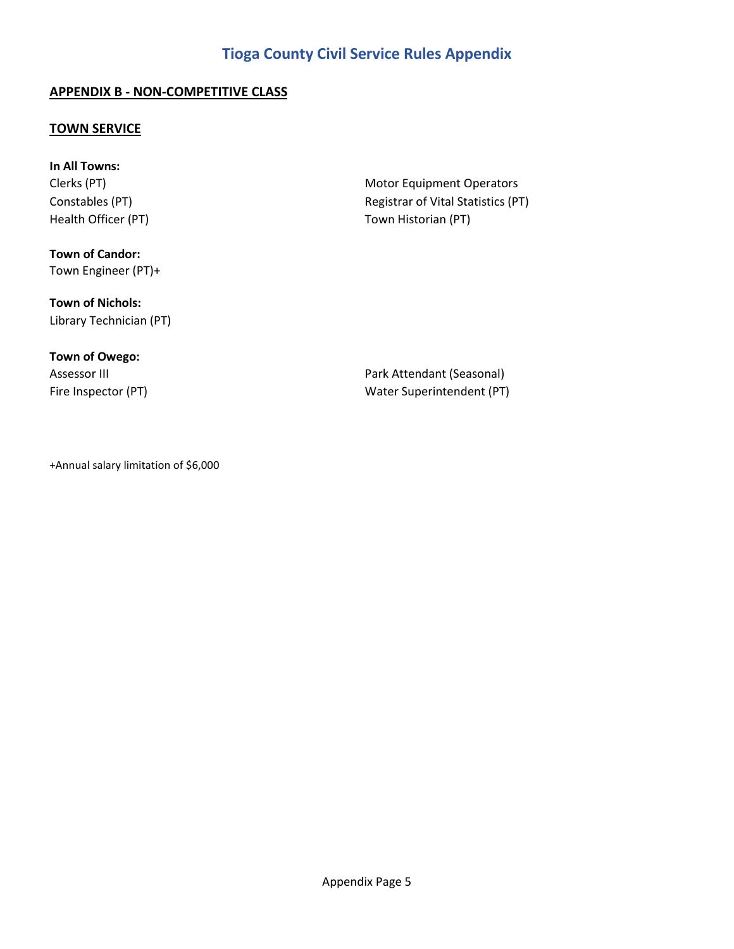## **APPENDIX B - NON-COMPETITIVE CLASS**

#### **TOWN SERVICE**

**In All Towns:** Clerks (PT) and Clerks (PT) and Clerks (PT) and Clerks (PT) and Clerks (PT) and Clerks (PT) and Clerks (PT) and Clerks (PT) and Clerks (PT) and Clerks (PT) and Clerks (PT) and Clerks (PT) and Clerks (PT) and Clerks (PT) an

**Town of Candor:** Town Engineer (PT)+

**Town of Nichols:**

Library Technician (PT)

# **Town of Owego:**

Constables (PT) and Constables (PT) constables (PT) and Constables (PT) constables (PT) Health Officer (PT) Town Historian (PT)

Assessor III **Assessor III Park Attendant (Seasonal)** Fire Inspector (PT) The Inspector (PT) and Mater Superintendent (PT)

+Annual salary limitation of \$6,000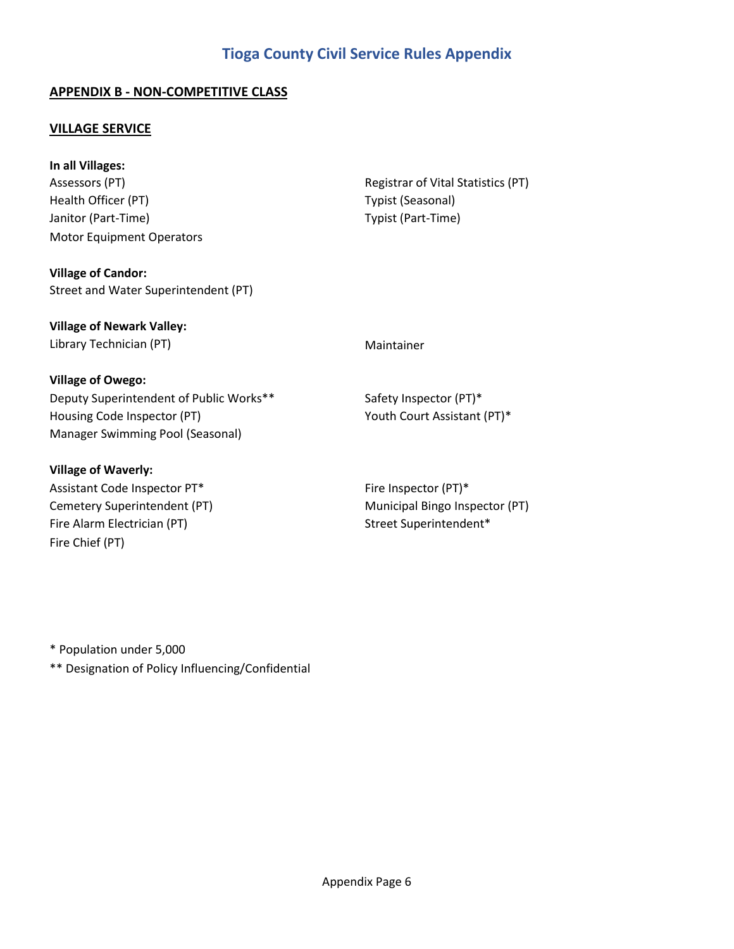## **APPENDIX B - NON-COMPETITIVE CLASS**

#### **VILLAGE SERVICE**

**In all Villages:** Assessors (PT) The Community Registrar of Vital Statistics (PT) Health Officer (PT) Typist (Seasonal) Janitor (Part-Time) **Typist** (Part-Time) Motor Equipment Operators

**Village of Candor:** Street and Water Superintendent (PT)

**Village of Newark Valley:** Library Technician (PT) and the control of the Maintainer

#### **Village of Owego:**

Deputy Superintendent of Public Works\*\* Safety Inspector (PT)\* Housing Code Inspector (PT) The South Court Assistant (PT)\* Manager Swimming Pool (Seasonal)

#### **Village of Waverly:**

Assistant Code Inspector PT\* Fire Inspector (PT)\* Cemetery Superintendent (PT) Municipal Bingo Inspector (PT) Fire Alarm Electrician (PT) Street Superintendent\* Fire Chief (PT)

\* Population under 5,000

\*\* Designation of Policy Influencing/Confidential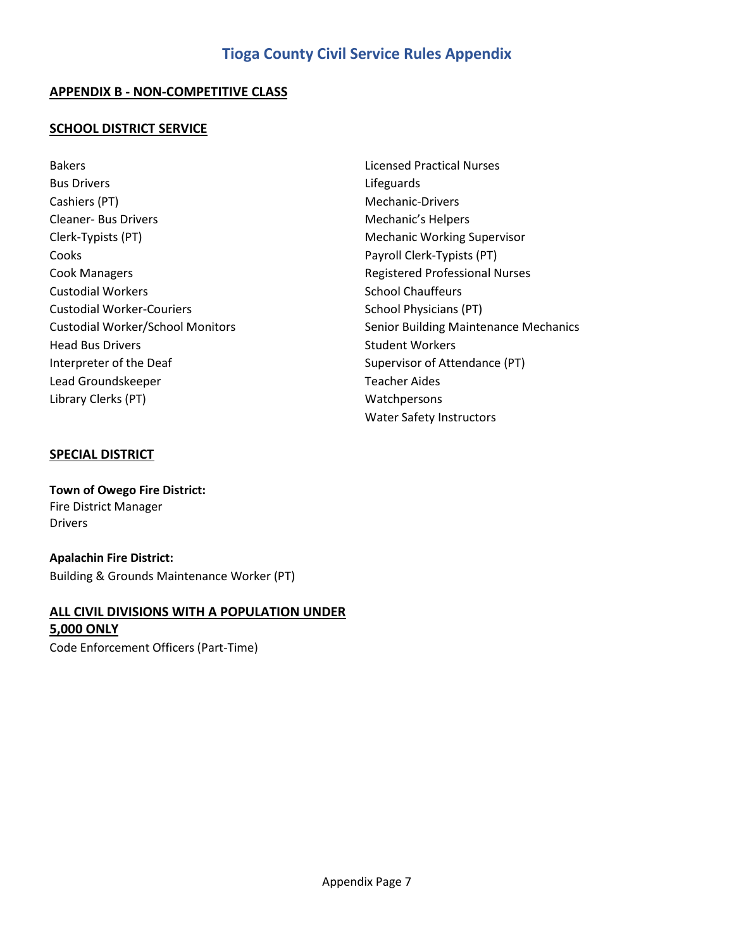### **APPENDIX B - NON-COMPETITIVE CLASS**

#### **SCHOOL DISTRICT SERVICE**

Bakers Licensed Practical Nurses Bus Drivers **Lifeguards** Cashiers (PT) **Mechanic-Drivers** Cleaner- Bus Drivers **Mechanic's Helpers** Mechanic's Helpers Clerk-Typists (PT) and Clerk-Typists (PT) and Clerk-Typists (PT) and Clerk-Typists (PT) Cooks Payroll Clerk-Typists (PT) Cook Managers Registered Professional Nurses Custodial Workers **School Chauffeurs** School Chauffeurs Custodial Worker-Couriers School Physicians (PT) Head Bus Drivers **Student Workers** Student Workers Interpreter of the Deaf Supervisor of Attendance (PT) Lead Groundskeeper Teacher Aides Library Clerks (PT) and the contract of the contract of the Watchpersons

Custodial Worker/School Monitors Senior Building Maintenance Mechanics Water Safety Instructors

## **SPECIAL DISTRICT**

**Town of Owego Fire District:** Fire District Manager Drivers

**Apalachin Fire District:** Building & Grounds Maintenance Worker (PT)

## **ALL CIVIL DIVISIONS WITH A POPULATION UNDER 5,000 ONLY**

Code Enforcement Officers (Part-Time)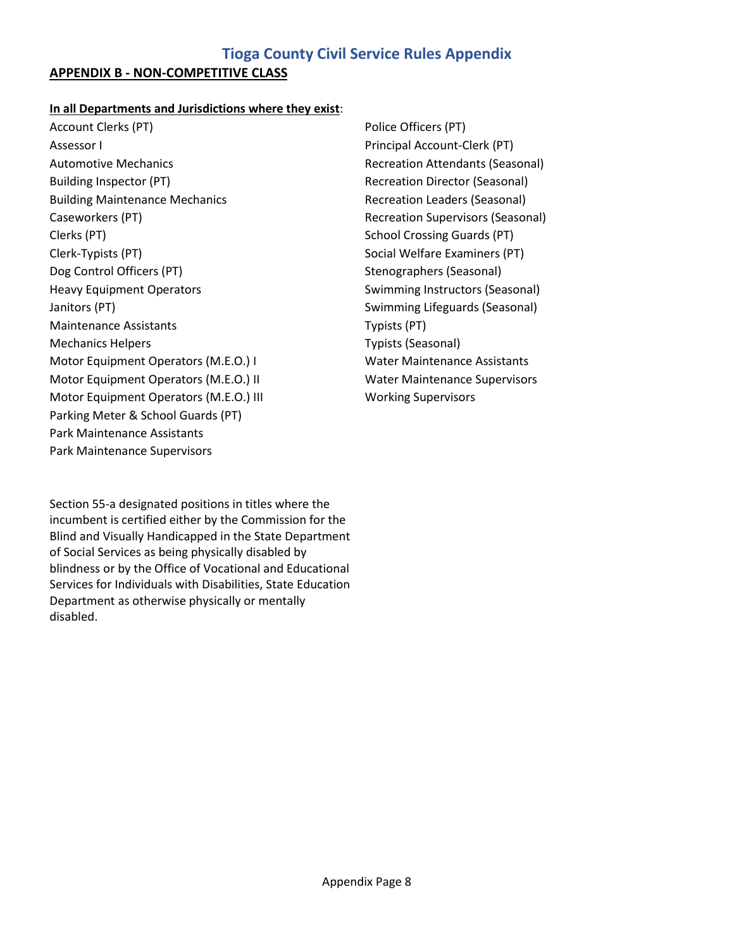## **APPENDIX B - NON-COMPETITIVE CLASS**

#### **In all Departments and Jurisdictions where they exist**:

Account Clerks (PT) and The Police Officers (PT) and Police Officers (PT) Assessor I Principal Account-Clerk (PT) Automotive Mechanics Recreation Attendants (Seasonal) Building Inspector (PT) and Recreation Director (Seasonal) Building Maintenance Mechanics **Recreation Leaders (Seasonal)** Caseworkers (PT) Recreation Supervisors (Seasonal) Clerks (PT) School Crossing Guards (PT) Clerk-Typists (PT) Social Welfare Examiners (PT) Social Welfare Examiners (PT) Dog Control Officers (PT) Stenographers (Seasonal) Heavy Equipment Operators **Subseter Strategier Swimming Instructors (Seasonal)** Swimming Instructors (Seasonal) Janitors (PT) **Swimming Lifeguards (Seasonal)** Swimming Lifeguards (Seasonal) Maintenance Assistants Typists (PT) Mechanics Helpers Typists (Seasonal) Motor Equipment Operators (M.E.O.) I Water Maintenance Assistants Motor Equipment Operators (M.E.O.) II Water Maintenance Supervisors Motor Equipment Operators (M.E.O.) III Working Supervisors Parking Meter & School Guards (PT) Park Maintenance Assistants Park Maintenance Supervisors

Section 55-a designated positions in titles where the incumbent is certified either by the Commission for the Blind and Visually Handicapped in the State Department of Social Services as being physically disabled by blindness or by the Office of Vocational and Educational Services for Individuals with Disabilities, State Education Department as otherwise physically or mentally disabled.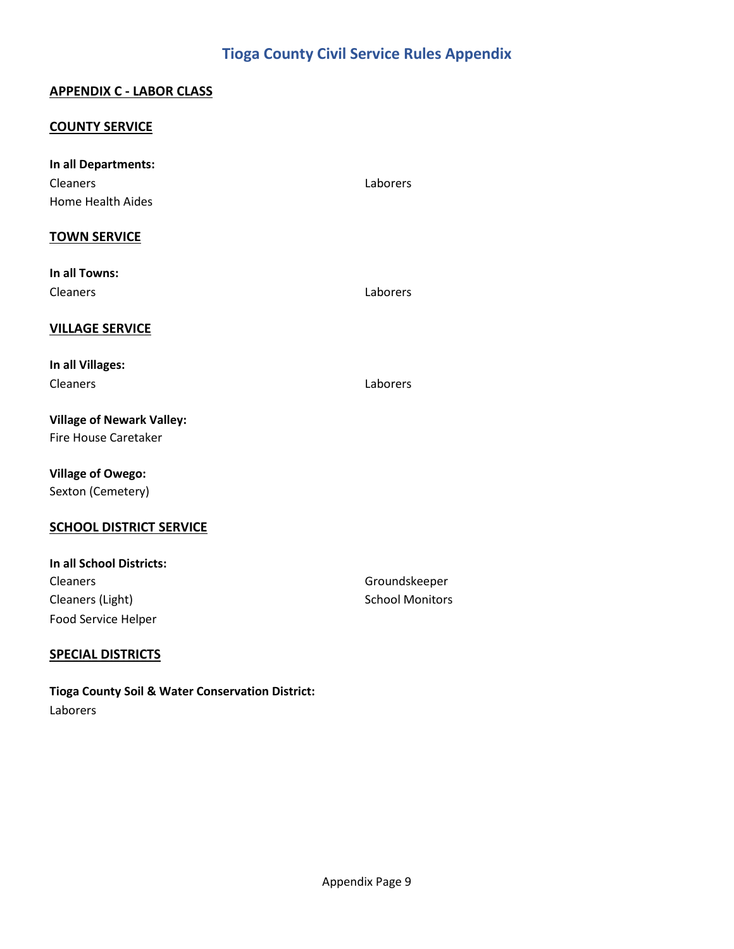## **APPENDIX C - LABOR CLASS**

#### **COUNTY SERVICE**

| In all Departments:              |                        |
|----------------------------------|------------------------|
| <b>Cleaners</b>                  | Laborers               |
| Home Health Aides                |                        |
| <b>TOWN SERVICE</b>              |                        |
| In all Towns:                    |                        |
| Cleaners                         | Laborers               |
| <b>VILLAGE SERVICE</b>           |                        |
| In all Villages:                 |                        |
| Cleaners                         | Laborers               |
| <b>Village of Newark Valley:</b> |                        |
| <b>Fire House Caretaker</b>      |                        |
| <b>Village of Owego:</b>         |                        |
| Sexton (Cemetery)                |                        |
| <b>SCHOOL DISTRICT SERVICE</b>   |                        |
| In all School Districts:         |                        |
| Cleaners                         | Groundskeeper          |
| Cleaners (Light)                 | <b>School Monitors</b> |

#### **SPECIAL DISTRICTS**

Food Service Helper

**Tioga County Soil & Water Conservation District:** Laborers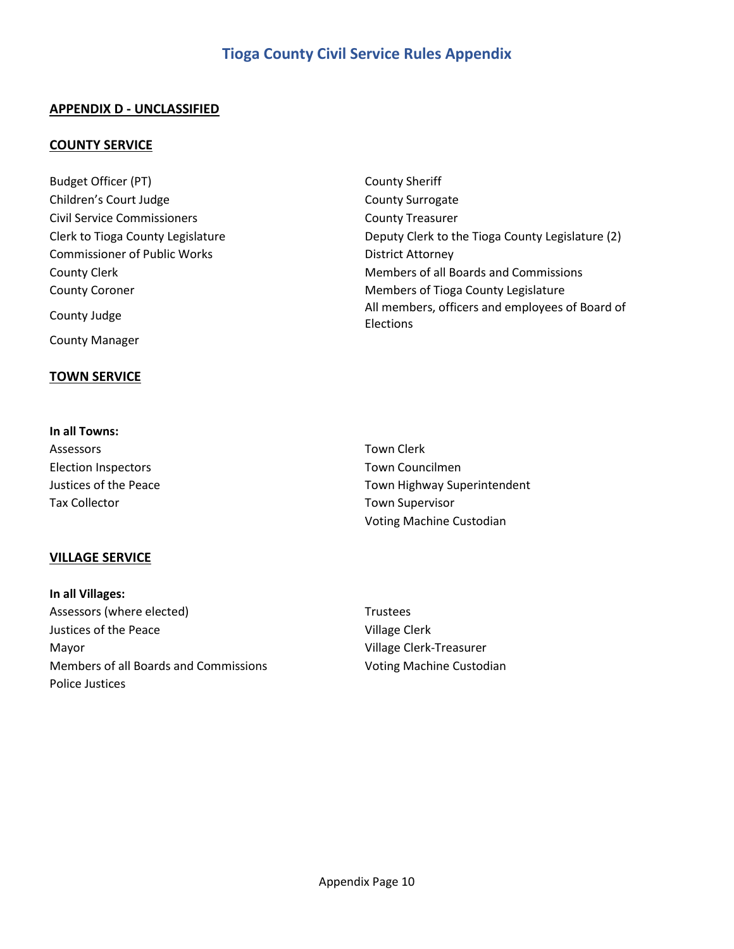## **APPENDIX D - UNCLASSIFIED**

#### **COUNTY SERVICE**

Budget Officer (PT) and the County Sheriff Children's Court Judge County Surrogate Civil Service Commissioners County Treasurer Commissioner of Public Works **District Attorney** County Manager

#### **TOWN SERVICE**

**In all Towns:**

Clerk to Tioga County Legislature **Deputy Clerk to the Tioga County Legislature** (2) County Clerk **Members** of all Boards and Commissions County Coroner **Members of Tioga County Legislature** County Legislature County Judge **All members**, officers and employees of Board of Elections

| Assessors                  | Town Clerk                  |
|----------------------------|-----------------------------|
| <b>Election Inspectors</b> | Town Councilmen             |
| Justices of the Peace      | Town Highway Superintendent |
| <b>Tax Collector</b>       | <b>Town Supervisor</b>      |
|                            | Voting Machine Custodian    |

#### **VILLAGE SERVICE**

**In all Villages:** Assessors (where elected) Trustees Justices of the Peace Village Clerk Mayor Village Clerk-Treasurer Members of all Boards and Commissions **Voting Machine Custodian** Police Justices